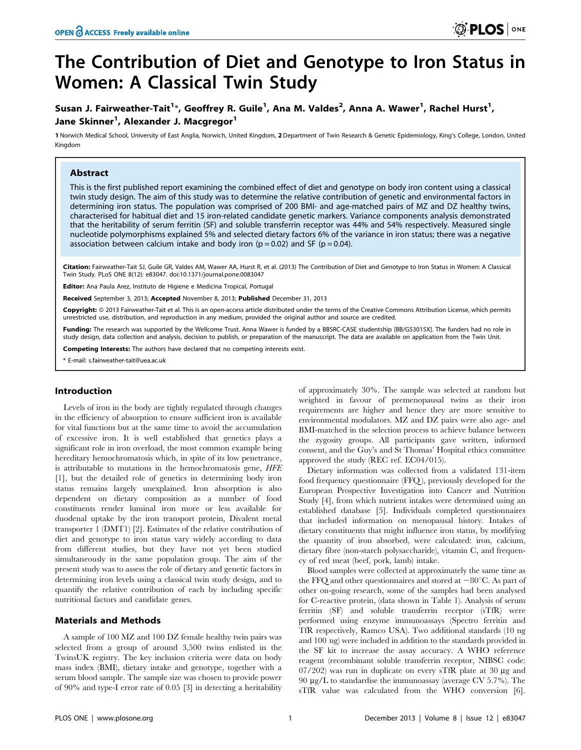# The Contribution of Diet and Genotype to Iron Status in Women: A Classical Twin Study

# Susan J. Fairweather-Tait<sup>1</sup>\*, Geoffrey R. Guile<sup>1</sup>, Ana M. Valdes<sup>2</sup>, Anna A. Wawer<sup>1</sup>, Rachel Hurst<sup>1</sup>, Jane Skinner<sup>1</sup>, Alexander J. Macgregor<sup>1</sup>

1 Norwich Medical School, University of East Anglia, Norwich, United Kingdom, 2 Department of Twin Research & Genetic Epidemiology, King's College, London, United Kingdom

## Abstract

This is the first published report examining the combined effect of diet and genotype on body iron content using a classical twin study design. The aim of this study was to determine the relative contribution of genetic and environmental factors in determining iron status. The population was comprised of 200 BMI- and age-matched pairs of MZ and DZ healthy twins, characterised for habitual diet and 15 iron-related candidate genetic markers. Variance components analysis demonstrated that the heritability of serum ferritin (SF) and soluble transferrin receptor was 44% and 54% respectively. Measured single nucleotide polymorphisms explained 5% and selected dietary factors 6% of the variance in iron status; there was a negative association between calcium intake and body iron ( $p = 0.02$ ) and SF ( $p = 0.04$ ).

Citation: Fairweather-Tait SJ, Guile GR, Valdes AM, Wawer AA, Hurst R, et al. (2013) The Contribution of Diet and Genotype to Iron Status in Women: A Classical Twin Study. PLoS ONE 8(12): e83047. doi:10.1371/journal.pone.0083047

Editor: Ana Paula Arez, Instituto de Higiene e Medicina Tropical, Portugal

Received September 3, 2013; Accepted November 8, 2013; Published December 31, 2013

**Copyright:** © 2013 Fairweather-Tait et al. This is an open-access article distributed under the terms of the Creative Commons Attribution License, which permits unrestricted use, distribution, and reproduction in any medium, provided the original author and source are credited.

Funding: The research was supported by the Wellcome Trust. Anna Wawer is funded by a BBSRC-CASE studentship [BB/G53015X]. The funders had no role in study design, data collection and analysis, decision to publish, or preparation of the manuscript. The data are available on application from the Twin Unit.

Competing Interests: The authors have declared that no competing interests exist.

E-mail: s.fairweather-tait@uea.ac.uk

#### Introduction

Levels of iron in the body are tightly regulated through changes in the efficiency of absorption to ensure sufficient iron is available for vital functions but at the same time to avoid the accumulation of excessive iron. It is well established that genetics plays a significant role in iron overload, the most common example being hereditary hemochromatosis which, in spite of its low penetrance, is attributable to mutations in the hemochromatosis gene, HFE [1], but the detailed role of genetics in determining body iron status remains largely unexplained. Iron absorption is also dependent on dietary composition as a number of food constituents render luminal iron more or less available for duodenal uptake by the iron transport protein, Divalent metal transporter 1 (DMT1) [2]. Estimates of the relative contribution of diet and genotype to iron status vary widely according to data from different studies, but they have not yet been studied simultaneously in the same population group. The aim of the present study was to assess the role of dietary and genetic factors in determining iron levels using a classical twin study design, and to quantify the relative contribution of each by including specific nutritional factors and candidate genes.

#### Materials and Methods

A sample of 100 MZ and 100 DZ female healthy twin pairs was selected from a group of around 3,500 twins enlisted in the TwinsUK registry. The key inclusion criteria were data on body mass index (BMI), dietary intake and genotype, together with a serum blood sample. The sample size was chosen to provide power of 90% and type-I error rate of 0.05 [3] in detecting a heritability of approximately 30%. The sample was selected at random but weighted in favour of premenopausal twins as their iron requirements are higher and hence they are more sensitive to environmental modulators. MZ and DZ pairs were also age- and BMI-matched in the selection process to achieve balance between the zygosity groups. All participants gave written, informed consent, and the Guy's and St Thomas' Hospital ethics committee approved the study (REC ref. EC04/015).

Dietary information was collected from a validated 131-item food frequency questionnaire (FFQ), previously developed for the European Prospective Investigation into Cancer and Nutrition Study [4], from which nutrient intakes were determined using an established database [5]. Individuals completed questionnaires that included information on menopausal history. Intakes of dietary constituents that might influence iron status, by modifying the quantity of iron absorbed, were calculated: iron, calcium, dietary fibre (non-starch polysaccharide), vitamin C, and frequency of red meat (beef, pork, lamb) intake.

Blood samples were collected at approximately the same time as the FFQ and other questionnaires and stored at  $-80^{\circ}$ C. As part of other on-going research, some of the samples had been analysed for C-reactive protein, (data shown in Table 1). Analysis of serum ferritin (SF) and soluble transferrin receptor (sTfR) were performed using enzyme immunoassays (Spectro ferritin and TfR respectively, Ramco USA). Two additional standards (10 ng and 100 ng) were included in addition to the standards provided in the SF kit to increase the assay accuracy. A WHO reference reagent (recombinant soluble transferrin receptor, NIBSC code: 07/202) was run in duplicate on every sTfR plate at 30  $\mu$ g and 90  $\mu$ g/L to standardise the immunoassay (average CV 5.7%). The sTfR value was calculated from the WHO conversion [6].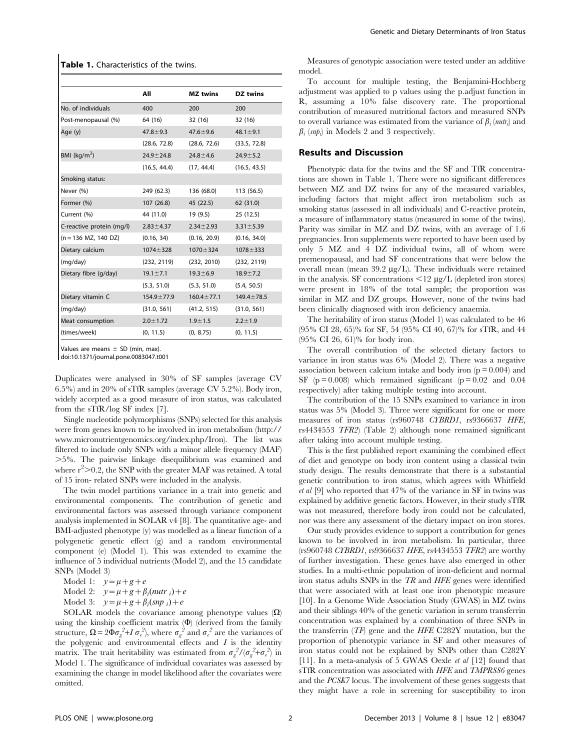#### Table 1. Characteristics of the twins.

|                           | All              | MZ twins         | <b>DZ</b> twins  |
|---------------------------|------------------|------------------|------------------|
| No. of individuals        | 400              | 200              | 200              |
| Post-menopausal (%)       | 64 (16)          | 32(16)           | 32 (16)          |
| Age (y)                   | $47.8 \pm 9.3$   | $47.6 \pm 9.6$   | $48.1 \pm 9.1$   |
|                           | (28.6, 72.8)     | (28.6, 72.6)     | (33.5, 72.8)     |
| BMI (kg/m <sup>2</sup> )  | $24.9 \pm 24.8$  | $24.8 \pm 4.6$   | $24.9 \pm 5.2$   |
|                           | (16.5, 44.4)     | (17, 44.4)       | (16.5, 43.5)     |
| Smoking status:           |                  |                  |                  |
| Never (%)                 | 249 (62.3)       | 136 (68.0)       | 113 (56.5)       |
| Former (%)                | 107(26.8)        | 45 (22.5)        | 62 (31.0)        |
| Current (%)               | 44 (11.0)        | 19 (9.5)         | 25 (12.5)        |
| C-reactive protein (mg/l) | $2.83 \pm 4.37$  | $2.34 \pm 2.93$  | $3.31 \pm 5.39$  |
| $(n = 136$ MZ, 140 DZ)    | (0.16, 34)       | (0.16, 20.9)     | (0.16, 34.0)     |
| Dietary calcium           | $1074 \pm 328$   | $1070 + 324$     | $1078 + 333$     |
| (mg/day)                  | (232, 2119)      | (232, 2010)      | (232, 2119)      |
| Dietary fibre (g/day)     | $19.1 \pm 7.1$   | $19.3 \pm 6.9$   | $18.9 \pm 7.2$   |
|                           | (5.3, 51.0)      | (5.3, 51.0)      | (5.4, 50.5)      |
| Dietary vitamin C         | $154.9 \pm 77.9$ | $160.4 \pm 77.1$ | $149.4 \pm 78.5$ |
| (mg/day)                  | (31.0, 561)      | (41.2, 515)      | (31.0, 561)      |
| Meat consumption          | $2.0 \pm 1.72$   | $1.9 + 1.5$      | $2.2 \pm 1.9$    |
| (times/week)              | (0, 11.5)        | (0, 8.75)        | (0, 11.5)        |

Values are means  $\pm$  SD (min, max).

doi:10.1371/journal.pone.0083047.t001

Duplicates were analysed in 30% of SF samples (average CV 6.5%) and in 20% of sTfR samples (average CV 5.2%). Body iron, widely accepted as a good measure of iron status, was calculated from the sTfR/log SF index [7].

Single nucleotide polymorphisms (SNPs) selected for this analysis were from genes known to be involved in iron metabolism (http:// www.micronutrientgenomics.org/index.php/Iron). The list was filtered to include only SNPs with a minor allele frequency (MAF) .5%. The pairwise linkage disequilibrium was examined and where  $r^2$  > 0.2, the SNP with the greater MAF was retained. A total of 15 iron- related SNPs were included in the analysis.

The twin model partitions variance in a trait into genetic and environmental components. The contribution of genetic and environmental factors was assessed through variance component analysis implemented in SOLAR v4 [8]. The quantitative age- and BMI-adjusted phenotype (y) was modelled as a linear function of a polygenetic genetic effect (g) and a random environmental component (e) (Model 1). This was extended to examine the influence of 5 individual nutrients (Model 2), and the 15 candidate SNPs (Model 3)

Model 1:  $y=\mu+g+e$ Model 2:  $y=\mu+g+\beta_i(nurt r_i)+e$ 

Model 3:  $y=\mu+g+\beta_i(snp_i)+e$ 

SOLAR models the covariance among phenotype values  $(\Omega)$ using the kinship coefficient matrix  $(\Phi)$  (derived from the family structure,  $\Omega = 2\Phi \sigma_g^2 + I \sigma_e^2$ , where  $\sigma_g^2$  and  $\sigma_e^2$  are the variances of the polygenic and environmental effects and  $I$  is the identity matrix. The trait heritability was estimated from  $\sigma_g^2/(\sigma_g^2 + \sigma_e^2)$  in Model 1. The significance of individual covariates was assessed by examining the change in model likelihood after the covariates were omitted.

Measures of genotypic association were tested under an additive model.

To account for multiple testing, the Benjamini-Hochberg adjustment was applied to p values using the p.adjust function in R, assuming a 10% false discovery rate. The proportional contribution of measured nutritional factors and measured SNPs to overall variance was estimated from the variance of  $\beta_i$  (*nutr<sub>i</sub>*) and  $\beta_i$  (snp<sub>i</sub>) in Models 2 and 3 respectively.

#### Results and Discussion

Phenotypic data for the twins and the SF and TfR concentrations are shown in Table 1. There were no significant differences between MZ and DZ twins for any of the measured variables, including factors that might affect iron metabolism such as smoking status (assessed in all individuals) and C-reactive protein, a measure of inflammatory status (measured in some of the twins). Parity was similar in MZ and DZ twins, with an average of 1.6 pregnancies. Iron supplements were reported to have been used by only 5 MZ and 4 DZ individual twins, all of whom were premenopausal, and had SF concentrations that were below the overall mean (mean  $39.2 \mu g/L$ ). These individuals were retained in the analysis. SF concentrations  $\langle 12 \mu g/L \rangle$  (depleted iron stores) were present in 18% of the total sample; the proportion was similar in MZ and DZ groups. However, none of the twins had been clinically diagnosed with iron deficiency anaemia.

The heritability of iron status (Model 1) was calculated to be 46 (95% CI 28, 65)% for SF, 54 (95% CI 40, 67)% for sTfR, and 44 (95% CI 26, 61)% for body iron.

The overall contribution of the selected dietary factors to variance in iron status was 6% (Model 2). There was a negative association between calcium intake and body iron  $(p = 0.004)$  and SF ( $p = 0.008$ ) which remained significant ( $p = 0.02$  and 0.04 respectively) after taking multiple testing into account.

The contribution of the 15 SNPs examined to variance in iron status was 5% (Model 3). Three were significant for one or more measures of iron status (rs960748 CYBRD1, rs9366637 HFE, rs4434553 TFR2) (Table 2) although none remained significant after taking into account multiple testing.

This is the first published report examining the combined effect of diet and genotype on body iron content using a classical twin study design. The results demonstrate that there is a substantial genetic contribution to iron status, which agrees with Whitfield et al [9] who reported that 47% of the variance in SF in twins was explained by additive genetic factors. However, in their study sTfR was not measured, therefore body iron could not be calculated, nor was there any assessment of the dietary impact on iron stores.

Our study provides evidence to support a contribution for genes known to be involved in iron metabolism. In particular, three (rs960748 CYBRD1, rs9366637 HFE, rs4434553 TFR2) are worthy of further investigation. These genes have also emerged in other studies. In a multi-ethnic population of iron-deficient and normal iron status adults SNPs in the TR and HFE genes were identified that were associated with at least one iron phenotypic measure [10]. In a Genome Wide Association Study (GWAS) in MZ twins and their siblings 40% of the genetic variation in serum transferrin concentration was explained by a combination of three SNPs in the transferrin  $(TF)$  gene and the HFE C282Y mutation, but the proportion of phenotypic variance in SF and other measures of iron status could not be explained by SNPs other than C282Y [11]. In a meta-analysis of 5 GWAS Oexle et al [12] found that sTfR concentration was associated with HFE and TMPRSS6 genes and the PCSK7 locus. The involvement of these genes suggests that they might have a role in screening for susceptibility to iron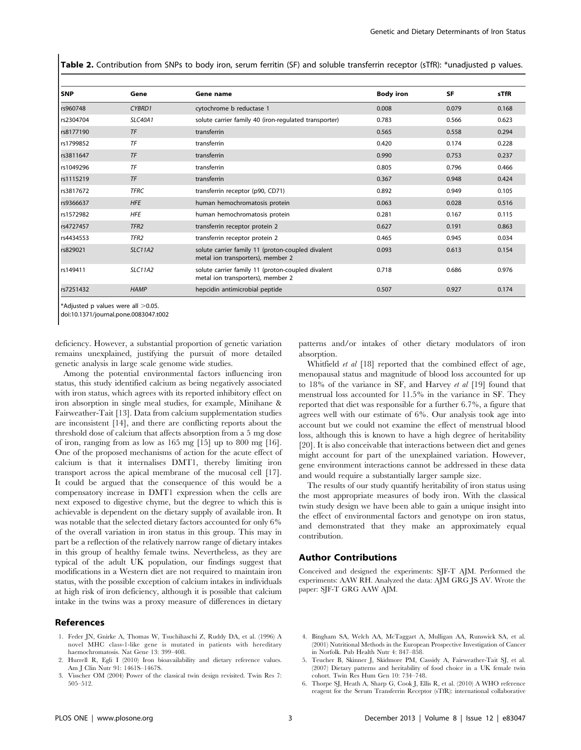Table 2. Contribution from SNPs to body iron, serum ferritin (SF) and soluble transferrin receptor (sTfR): \*unadjusted p values.

| <b>SNP</b> | Gene             | Gene name                                                                              | <b>Body iron</b> | <b>SF</b> | sTfR  |
|------------|------------------|----------------------------------------------------------------------------------------|------------------|-----------|-------|
| rs960748   | CYBRD1           | cytochrome b reductase 1                                                               | 0.008            | 0.079     | 0.168 |
| rs2304704  | <b>SLC40A1</b>   | solute carrier family 40 (iron-regulated transporter)                                  | 0.783            | 0.566     | 0.623 |
| rs8177190  | TF               | transferrin                                                                            | 0.565            | 0.558     | 0.294 |
| rs1799852  | TF               | transferrin                                                                            | 0.420            | 0.174     | 0.228 |
| rs3811647  | TF               | transferrin                                                                            | 0.990            | 0.753     | 0.237 |
| rs1049296  | TF               | transferrin                                                                            | 0.805            | 0.796     | 0.466 |
| rs1115219  | TF               | transferrin                                                                            | 0.367            | 0.948     | 0.424 |
| rs3817672  | <b>TFRC</b>      | transferrin receptor (p90, CD71)                                                       | 0.892            | 0.949     | 0.105 |
| rs9366637  | <b>HFE</b>       | human hemochromatosis protein                                                          | 0.063            | 0.028     | 0.516 |
| rs1572982  | <b>HFE</b>       | human hemochromatosis protein                                                          | 0.281            | 0.167     | 0.115 |
| rs4727457  | TFR <sub>2</sub> | transferrin receptor protein 2                                                         | 0.627            | 0.191     | 0.863 |
| rs4434553  | TFR <sub>2</sub> | transferrin receptor protein 2                                                         | 0.465            | 0.945     | 0.034 |
| rs829021   | <b>SLC11A2</b>   | solute carrier family 11 (proton-coupled divalent<br>metal ion transporters), member 2 | 0.093            | 0.613     | 0.154 |
| rs149411   | <b>SLC11A2</b>   | solute carrier family 11 (proton-coupled divalent<br>metal ion transporters), member 2 | 0.718            | 0.686     | 0.976 |
| rs7251432  | <b>HAMP</b>      | hepcidin antimicrobial peptide                                                         | 0.507            | 0.927     | 0.174 |

 $*$ Adiusted p values were all  $>$ 0.05.

doi:10.1371/journal.pone.0083047.t002

deficiency. However, a substantial proportion of genetic variation remains unexplained, justifying the pursuit of more detailed genetic analysis in large scale genome wide studies.

Among the potential environmental factors influencing iron status, this study identified calcium as being negatively associated with iron status, which agrees with its reported inhibitory effect on iron absorption in single meal studies, for example, Minihane & Fairweather-Tait [13]. Data from calcium supplementation studies are inconsistent [14], and there are conflicting reports about the threshold dose of calcium that affects absorption from a 5 mg dose of iron, ranging from as low as 165 mg [15] up to 800 mg [16]. One of the proposed mechanisms of action for the acute effect of calcium is that it internalises DMT1, thereby limiting iron transport across the apical membrane of the mucosal cell [17]. It could be argued that the consequence of this would be a compensatory increase in DMT1 expression when the cells are next exposed to digestive chyme, but the degree to which this is achievable is dependent on the dietary supply of available iron. It was notable that the selected dietary factors accounted for only 6% of the overall variation in iron status in this group. This may in part be a reflection of the relatively narrow range of dietary intakes in this group of healthy female twins. Nevertheless, as they are typical of the adult UK population, our findings suggest that modifications in a Western diet are not required to maintain iron status, with the possible exception of calcium intakes in individuals at high risk of iron deficiency, although it is possible that calcium intake in the twins was a proxy measure of differences in dietary

#### References

- 1. Feder JN, Gnirke A, Thomas W, Tsuchihaschi Z, Ruddy DA, et al. (1996) A novel MHC class-1-like gene is mutated in patients with hereditary haemochromatosis. Nat Gene 13: 399–408.
- 2. Hurrell R, Egli I (2010) Iron bioavailability and dietary reference values. Am J Clin Nutr 91: 1461S–1467S.
- 3. Visscher OM (2004) Power of the classical twin design revisited. Twin Res 7: 505–512.

patterns and/or intakes of other dietary modulators of iron absorption.

Whitfield *et al* [18] reported that the combined effect of age, menopausal status and magnitude of blood loss accounted for up to 18% of the variance in SF, and Harvey et al [19] found that menstrual loss accounted for 11.5% in the variance in SF. They reported that diet was responsible for a further 6.7%, a figure that agrees well with our estimate of 6%. Our analysis took age into account but we could not examine the effect of menstrual blood loss, although this is known to have a high degree of heritability [20]. It is also conceivable that interactions between diet and genes might account for part of the unexplained variation. However, gene environment interactions cannot be addressed in these data and would require a substantially larger sample size.

The results of our study quantify heritability of iron status using the most appropriate measures of body iron. With the classical twin study design we have been able to gain a unique insight into the effect of environmental factors and genotype on iron status, and demonstrated that they make an approximately equal contribution.

## Author Contributions

Conceived and designed the experiments: SJF-T AJM. Performed the experiments: AAW RH. Analyzed the data: AJM GRG JS AV. Wrote the paper: SJF-T GRG AAW AJM.

- 4. Bingham SA, Welch AA, McTaggart A, Mulligan AA, Runswick SA, et al. (2001) Nutritional Methods in the European Prospective Investigation of Cancer in Norfolk. Pub Health Nutr 4: 847–858.
- 5. Teucher B, Skinner J, Skidmore PM, Cassidy A, Fairweather-Tait SJ, et al. (2007) Dietary patterns and heritability of food choice in a UK female twin cohort. Twin Res Hum Gen 10: 734–748.
- 6. Thorpe SJ, Heath A, Sharp G, Cook J, Ellis R, et al. (2010) A WHO reference reagent for the Serum Transferrin Receptor (sTfR): international collaborative